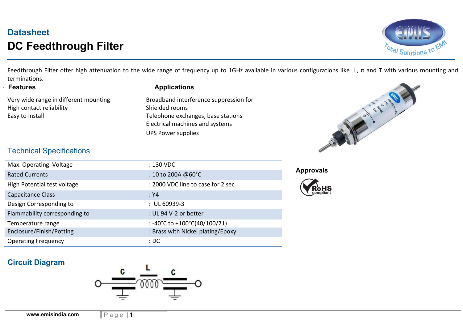# **Datasheet** DC Feedthrough Filter



Feedthrough Filter offer high attenuation to the wide range of frequency up to 1GHz available in various configurations like L,  $\pi$  and T with various mounting and terminations.

#### **Features**

Very wide range in different mounting High contact reliability and the shielded rooms Shielded rooms Easy to install **Easy** to install **Telephone exchanges**, base stations

#### **Applications**

 Electrical machines and systems UPS Power supplies Broadband interference suppression for



### Technical Specifications

| Max. Operating Voltage        | : 130 VDC                         |  |
|-------------------------------|-----------------------------------|--|
| <b>Rated Currents</b>         | $: 10$ to 200A @60°C              |  |
| High Potential test voltage   | : 2000 VDC line to case for 2 sec |  |
| Capacitance Class             | : Y4                              |  |
| Design Corresponding to       | $: UL60939-3$                     |  |
| Flammability corresponding to | : UL 94 V-2 or better             |  |
| Temperature range             | : -40°C to +100°C(40/100/21)      |  |
| Enclosure/Finish/Potting      | : Brass with Nickel plating/Epoxy |  |
| <b>Operating Frequency</b>    | :DC                               |  |

Approvals



### Circuit Diagram